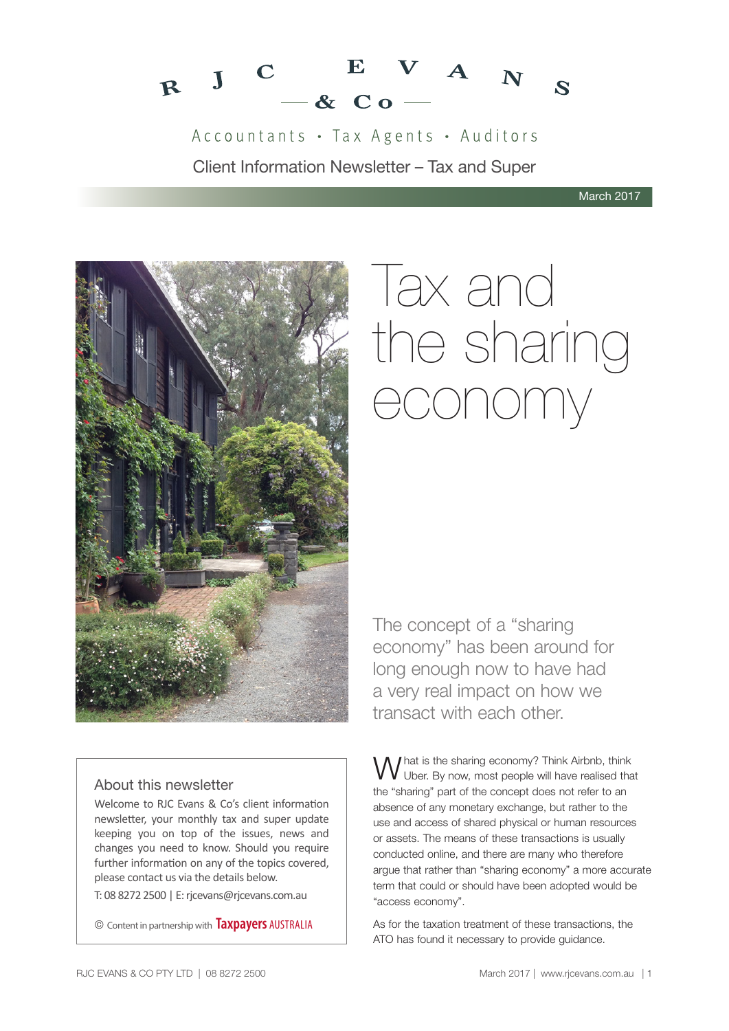

Accountants · Tax Agents · Auditors Client Information Newsletter – Tax and Super

March 2017



# **Tax and** the sharing economy

The concept of a "sharing economy" has been around for long enough now to have had a very real impact on how we transact with each other.

#### About this newsletter

Welcome to RJC Evans & Co's client information newsletter, your monthly tax and super update keeping you on top of the issues, news and changes you need to know. Should you require further information on any of the topics covered, please contact us via the details below.

T: 08 8272 2500 | E: rjcevans@rjcevans.com.au

© Content in partnership with **Taxpayers** AUSTRALIA

What is the sharing economy? Think Airbnb, think<br>W Uber. By now, most people will have realised that the "sharing" part of the concept does not refer to an absence of any monetary exchange, but rather to the use and access of shared physical or human resources or assets. The means of these transactions is usually conducted online, and there are many who therefore argue that rather than "sharing economy" a more accurate term that could or should have been adopted would be "access economy".

As for the taxation treatment of these transactions, the ATO has found it necessary to provide guidance.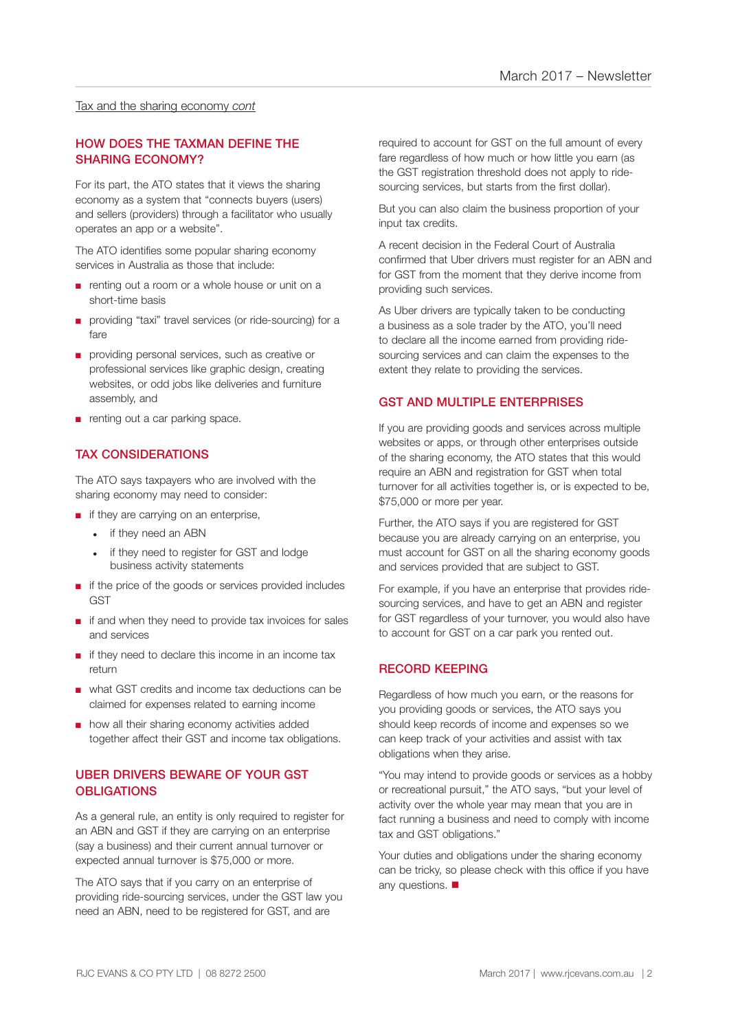#### Tax and the sharing economy *cont*

#### HOW DOES THE TAXMAN DEFINE THE SHARING ECONOMY?

For its part, the ATO states that it views the sharing economy as a system that "connects buyers (users) and sellers (providers) through a facilitator who usually operates an app or a website".

The ATO identifies some popular sharing economy services in Australia as those that include:

- renting out a room or a whole house or unit on a short-time basis
- providing "taxi" travel services (or ride-sourcing) for a fare
- providing personal services, such as creative or professional services like graphic design, creating websites, or odd jobs like deliveries and furniture assembly, and
- renting out a car parking space.

#### TAX CONSIDERATIONS

The ATO says taxpayers who are involved with the sharing economy may need to consider:

- if they are carrying on an enterprise,
	- if they need an ABN
	- if they need to register for GST and lodge business activity statements
- if the price of the goods or services provided includes **GST**
- if and when they need to provide tax invoices for sales and services
- if they need to declare this income in an income tax return
- what GST credits and income tax deductions can be claimed for expenses related to earning income
- how all their sharing economy activities added together affect their GST and income tax obligations.

#### UBER DRIVERS BEWARE OF YOUR GST **OBLIGATIONS**

As a general rule, an entity is only required to register for an ABN and GST if they are carrying on an enterprise (say a business) and their current annual turnover or expected annual turnover is \$75,000 or more.

The ATO says that if you carry on an enterprise of providing ride-sourcing services, under the GST law you need an ABN, need to be registered for GST, and are

required to account for GST on the full amount of every fare regardless of how much or how little you earn (as the GST registration threshold does not apply to ridesourcing services, but starts from the first dollar).

But you can also claim the business proportion of your input tax credits.

A recent decision in the Federal Court of Australia confirmed that Uber drivers must register for an ABN and for GST from the moment that they derive income from providing such services.

As Uber drivers are typically taken to be conducting a business as a sole trader by the ATO, you'll need to declare all the income earned from providing ridesourcing services and can claim the expenses to the extent they relate to providing the services.

#### GST AND MULTIPLE ENTERPRISES

If you are providing goods and services across multiple websites or apps, or through other enterprises outside of the sharing economy, the ATO states that this would require an ABN and registration for GST when total turnover for all activities together is, or is expected to be, \$75,000 or more per year.

Further, the ATO says if you are registered for GST because you are already carrying on an enterprise, you must account for GST on all the sharing economy goods and services provided that are subject to GST.

For example, if you have an enterprise that provides ridesourcing services, and have to get an ABN and register for GST regardless of your turnover, you would also have to account for GST on a car park you rented out.

#### RECORD KEEPING

Regardless of how much you earn, or the reasons for you providing goods or services, the ATO says you should keep records of income and expenses so we can keep track of your activities and assist with tax obligations when they arise.

"You may intend to provide goods or services as a hobby or recreational pursuit," the ATO says, "but your level of activity over the whole year may mean that you are in fact running a business and need to comply with income tax and GST obligations."

Your duties and obligations under the sharing economy can be tricky, so please check with this office if you have any questions.  $\blacksquare$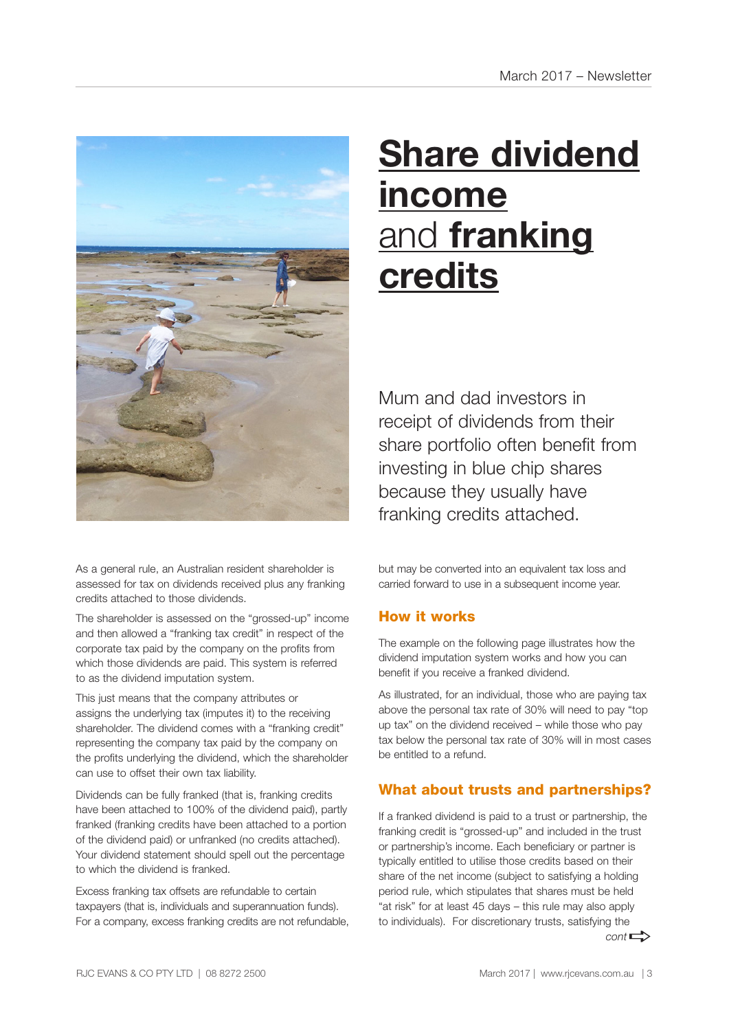![](_page_2_Picture_1.jpeg)

As a general rule, an Australian resident shareholder is assessed for tax on dividends received plus any franking credits attached to those dividends.

The shareholder is assessed on the "grossed-up" income and then allowed a "franking tax credit" in respect of the corporate tax paid by the company on the profits from which those dividends are paid. This system is referred to as the dividend imputation system.

This just means that the company attributes or assigns the underlying tax (imputes it) to the receiving shareholder. The dividend comes with a "franking credit" representing the company tax paid by the company on the profits underlying the dividend, which the shareholder can use to offset their own tax liability.

Dividends can be fully franked (that is, franking credits have been attached to 100% of the dividend paid), partly franked (franking credits have been attached to a portion of the dividend paid) or unfranked (no credits attached). Your dividend statement should spell out the percentage to which the dividend is franked.

Excess franking tax offsets are refundable to certain taxpayers (that is, individuals and superannuation funds). For a company, excess franking credits are not refundable,

# **Share dividend income** and **franking credits**

Mum and dad investors in receipt of dividends from their share portfolio often benefit from investing in blue chip shares because they usually have franking credits attached.

but may be converted into an equivalent tax loss and carried forward to use in a subsequent income year.

#### How it works

The example on the following page illustrates how the dividend imputation system works and how you can benefit if you receive a franked dividend.

As illustrated, for an individual, those who are paying tax above the personal tax rate of 30% will need to pay "top up tax" on the dividend received – while those who pay tax below the personal tax rate of 30% will in most cases be entitled to a refund.

#### What about trusts and partnerships?

If a franked dividend is paid to a trust or partnership, the franking credit is "grossed-up" and included in the trust or partnership's income. Each beneficiary or partner is typically entitled to utilise those credits based on their share of the net income (subject to satisfying a holding period rule, which stipulates that shares must be held "at risk" for at least 45 days – this rule may also apply to individuals). For discretionary trusts, satisfying the  $cont \rightarrow$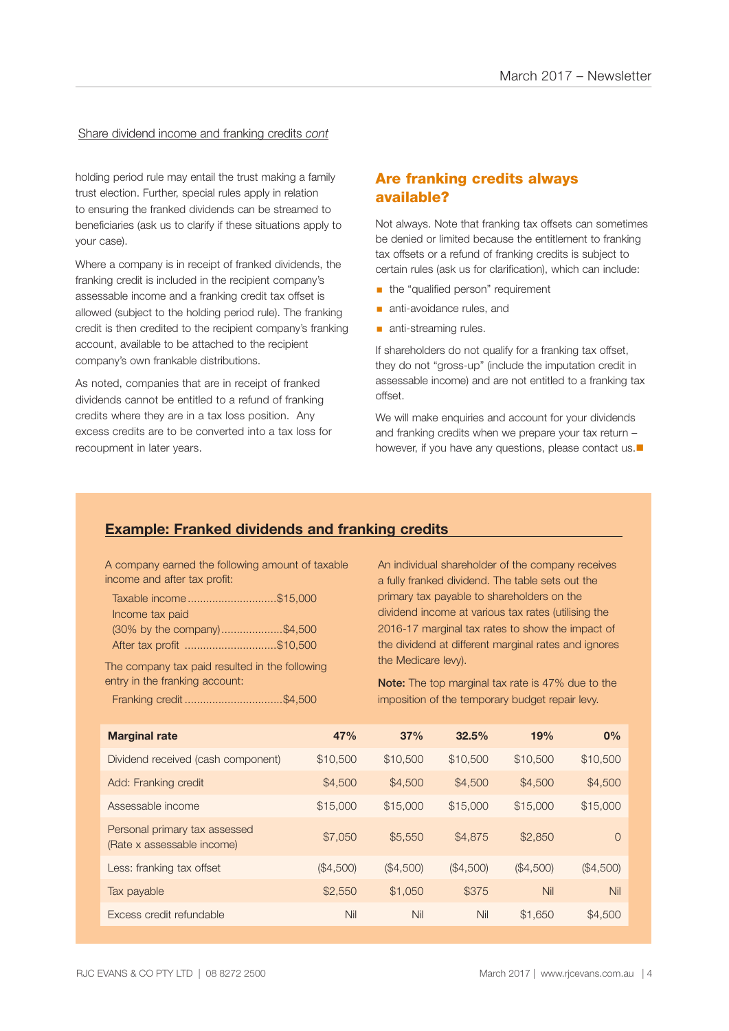#### Share dividend income and franking credits *cont*

holding period rule may entail the trust making a family trust election. Further, special rules apply in relation to ensuring the franked dividends can be streamed to beneficiaries (ask us to clarify if these situations apply to your case).

Where a company is in receipt of franked dividends, the franking credit is included in the recipient company's assessable income and a franking credit tax offset is allowed (subject to the holding period rule). The franking credit is then credited to the recipient company's franking account, available to be attached to the recipient company's own frankable distributions.

As noted, companies that are in receipt of franked dividends cannot be entitled to a refund of franking credits where they are in a tax loss position. Any excess credits are to be converted into a tax loss for recoupment in later years.

#### Are franking credits always available?

Not always. Note that franking tax offsets can sometimes be denied or limited because the entitlement to franking tax offsets or a refund of franking credits is subject to certain rules (ask us for clarification), which can include:

- the "qualified person" requirement
- **anti-avoidance rules, and**
- **anti-streaming rules.**

If shareholders do not qualify for a franking tax offset, they do not "gross-up" (include the imputation credit in assessable income) and are not entitled to a franking tax offset.

We will make enquiries and account for your dividends and franking credits when we prepare your tax return – however, if you have any questions, please contact us. $\blacksquare$ 

#### **Example: Franked dividends and franking credits**

A company earned the following amount of taxable income and after tax profit:

| Taxable income\$15,000      |  |
|-----------------------------|--|
| Income tax paid             |  |
| (30% by the company)\$4,500 |  |
| After tax profit \$10,500   |  |

The company tax paid resulted in the following entry in the franking account:

Franking credit ................................\$4,500

An individual shareholder of the company receives a fully franked dividend. The table sets out the primary tax payable to shareholders on the dividend income at various tax rates (utilising the 2016-17 marginal tax rates to show the impact of the dividend at different marginal rates and ignores the Medicare levy).

Note: The top marginal tax rate is 47% due to the imposition of the temporary budget repair levy.

| <b>Marginal rate</b>                                        | 47%       | 37%       | 32.5%     | 19%       | 0%        |
|-------------------------------------------------------------|-----------|-----------|-----------|-----------|-----------|
| Dividend received (cash component)                          | \$10,500  | \$10,500  | \$10,500  | \$10,500  | \$10,500  |
| Add: Franking credit                                        | \$4,500   | \$4,500   | \$4,500   | \$4,500   | \$4,500   |
| Assessable income                                           | \$15,000  | \$15,000  | \$15,000  | \$15,000  | \$15,000  |
| Personal primary tax assessed<br>(Rate x assessable income) | \$7,050   | \$5,550   | \$4,875   | \$2,850   | $\Omega$  |
| Less: franking tax offset                                   | (\$4,500) | (\$4,500) | (\$4,500) | (\$4,500) | (\$4,500) |
| Tax payable                                                 | \$2,550   | \$1,050   | \$375     | Nil       | Nil       |
| Excess credit refundable                                    | Nil       | Nil       | Nil       | \$1,650   | \$4,500   |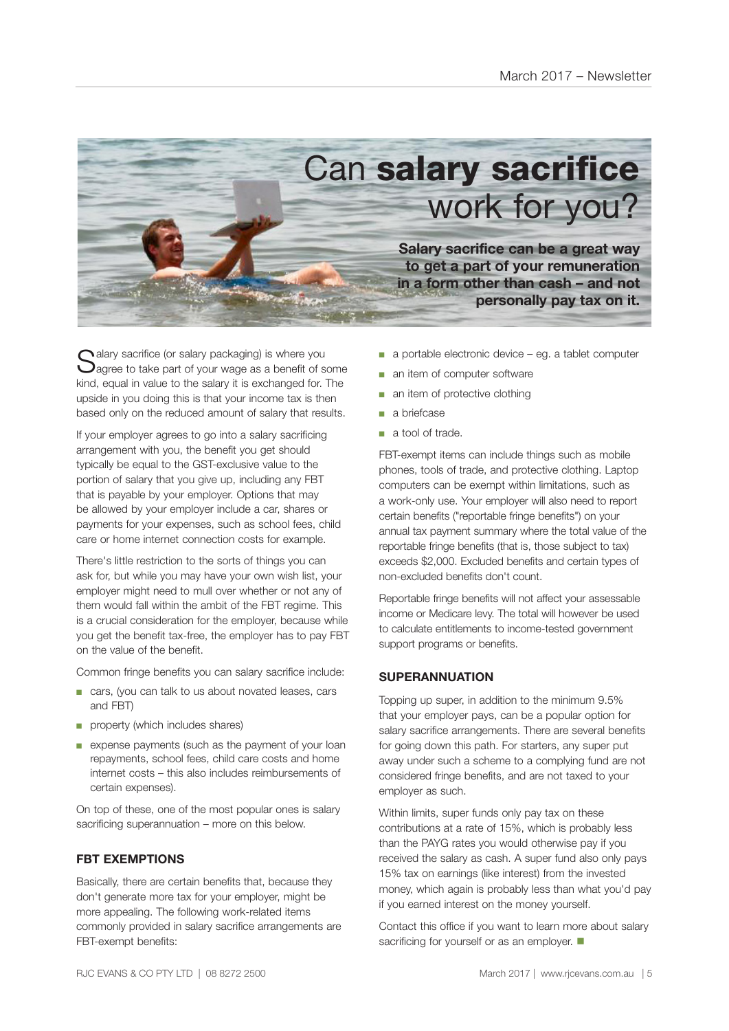![](_page_4_Picture_1.jpeg)

 $\bigcap$  alary sacrifice (or salary packaging) is where you  $\bigcup$ agree to take part of your wage as a benefit of some kind, equal in value to the salary it is exchanged for. The upside in you doing this is that your income tax is then based only on the reduced amount of salary that results.

If your employer agrees to go into a salary sacrificing arrangement with you, the benefit you get should typically be equal to the GST-exclusive value to the portion of salary that you give up, including any FBT that is payable by your employer. Options that may be allowed by your employer include a car, shares or payments for your expenses, such as school fees, child care or home internet connection costs for example.

There's little restriction to the sorts of things you can ask for, but while you may have your own wish list, your employer might need to mull over whether or not any of them would fall within the ambit of the FBT regime. This is a crucial consideration for the employer, because while you get the benefit tax-free, the employer has to pay FBT on the value of the benefit.

Common fringe benefits you can salary sacrifice include:

- cars, (you can talk to us about novated leases, cars and FBT)
- property (which includes shares)
- expense payments (such as the payment of your loan repayments, school fees, child care costs and home internet costs – this also includes reimbursements of certain expenses).

On top of these, one of the most popular ones is salary sacrificing superannuation – more on this below.

#### **FBT EXEMPTIONS**

Basically, there are certain benefits that, because they don't generate more tax for your employer, might be more appealing. The following work-related items commonly provided in salary sacrifice arrangements are FBT-exempt benefits:

- a portable electronic device eg. a tablet computer
- an item of computer software
- an item of protective clothing
- a briefcase
- a tool of trade.

FBT-exempt items can include things such as mobile phones, tools of trade, and protective clothing. Laptop computers can be exempt within limitations, such as a work-only use. Your employer will also need to report certain benefits ("reportable fringe benefits") on your annual tax payment summary where the total value of the reportable fringe benefits (that is, those subject to tax) exceeds \$2,000. Excluded benefits and certain types of non-excluded benefits don't count.

Reportable fringe benefits will not affect your assessable income or Medicare levy. The total will however be used to calculate entitlements to income-tested government support programs or benefits.

#### **SUPERANNUATION**

Topping up super, in addition to the minimum 9.5% that your employer pays, can be a popular option for salary sacrifice arrangements. There are several benefits for going down this path. For starters, any super put away under such a scheme to a complying fund are not considered fringe benefits, and are not taxed to your employer as such.

Within limits, super funds only pay tax on these contributions at a rate of 15%, which is probably less than the PAYG rates you would otherwise pay if you received the salary as cash. A super fund also only pays 15% tax on earnings (like interest) from the invested money, which again is probably less than what you'd pay if you earned interest on the money yourself.

Contact this office if you want to learn more about salary sacrificing for yourself or as an employer.  $\blacksquare$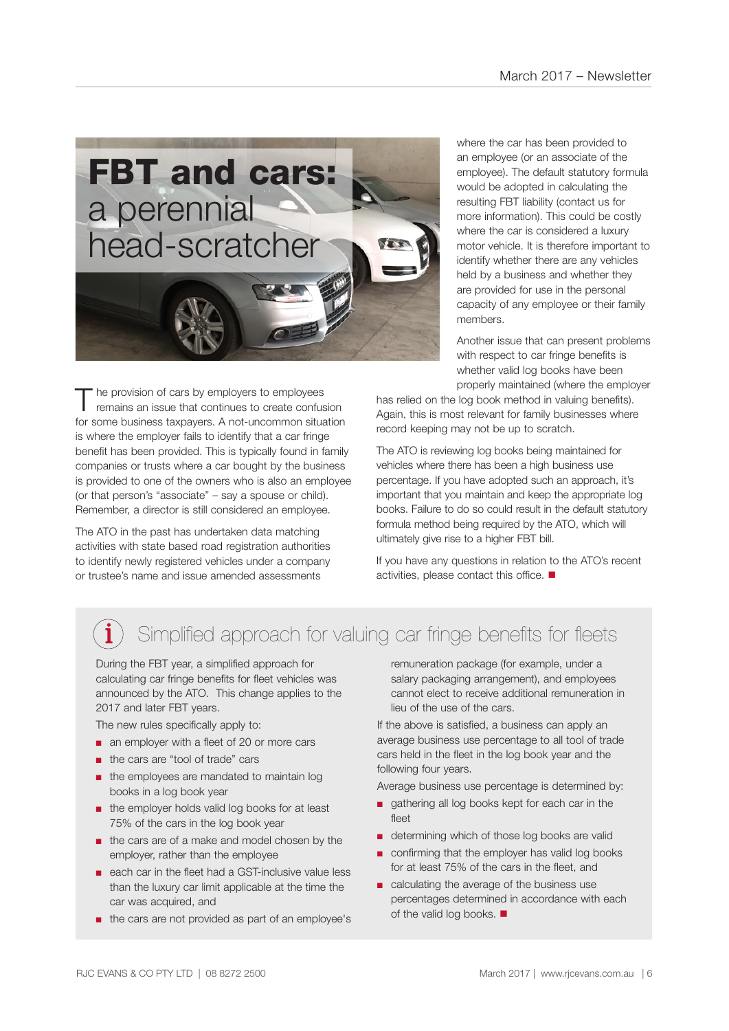![](_page_5_Picture_1.jpeg)

The provision of cars by employers to employees<br>
remains an issue that continues to create confusion for some business taxpayers. A not-uncommon situation is where the employer fails to identify that a car fringe benefit has been provided. This is typically found in family companies or trusts where a car bought by the business is provided to one of the owners who is also an employee (or that person's "associate" – say a spouse or child). Remember, a director is still considered an employee.

The ATO in the past has undertaken data matching activities with state based road registration authorities to identify newly registered vehicles under a company or trustee's name and issue amended assessments

where the car has been provided to an employee (or an associate of the employee). The default statutory formula would be adopted in calculating the resulting FBT liability (contact us for more information). This could be costly where the car is considered a luxury motor vehicle. It is therefore important to identify whether there are any vehicles held by a business and whether they are provided for use in the personal capacity of any employee or their family members.

Another issue that can present problems with respect to car fringe benefits is whether valid log books have been properly maintained (where the employer

has relied on the log book method in valuing benefits). Again, this is most relevant for family businesses where record keeping may not be up to scratch.

The ATO is reviewing log books being maintained for vehicles where there has been a high business use percentage. If you have adopted such an approach, it's important that you maintain and keep the appropriate log books. Failure to do so could result in the default statutory formula method being required by the ATO, which will ultimately give rise to a higher FBT bill.

If you have any questions in relation to the ATO's recent activities, please contact this office.  $\blacksquare$ 

### Simplified approach for valuing car fringe benefits for fleets

During the FBT year, a simplified approach for calculating car fringe benefits for fleet vehicles was announced by the ATO. This change applies to the 2017 and later FBT years.

The new rules specifically apply to:

- an employer with a fleet of 20 or more cars
- the cars are "tool of trade" cars
- the employees are mandated to maintain log books in a log book year
- the employer holds valid log books for at least 75% of the cars in the log book year
- the cars are of a make and model chosen by the employer, rather than the employee
- each car in the fleet had a GST-inclusive value less than the luxury car limit applicable at the time the car was acquired, and
- the cars are not provided as part of an employee's

remuneration package (for example, under a salary packaging arrangement), and employees cannot elect to receive additional remuneration in lieu of the use of the cars.

If the above is satisfied, a business can apply an average business use percentage to all tool of trade cars held in the fleet in the log book year and the following four years.

Average business use percentage is determined by:

- gathering all log books kept for each car in the fleet
- determining which of those log books are valid
- confirming that the employer has valid log books for at least 75% of the cars in the fleet, and
- calculating the average of the business use percentages determined in accordance with each of the valid log books.  $\blacksquare$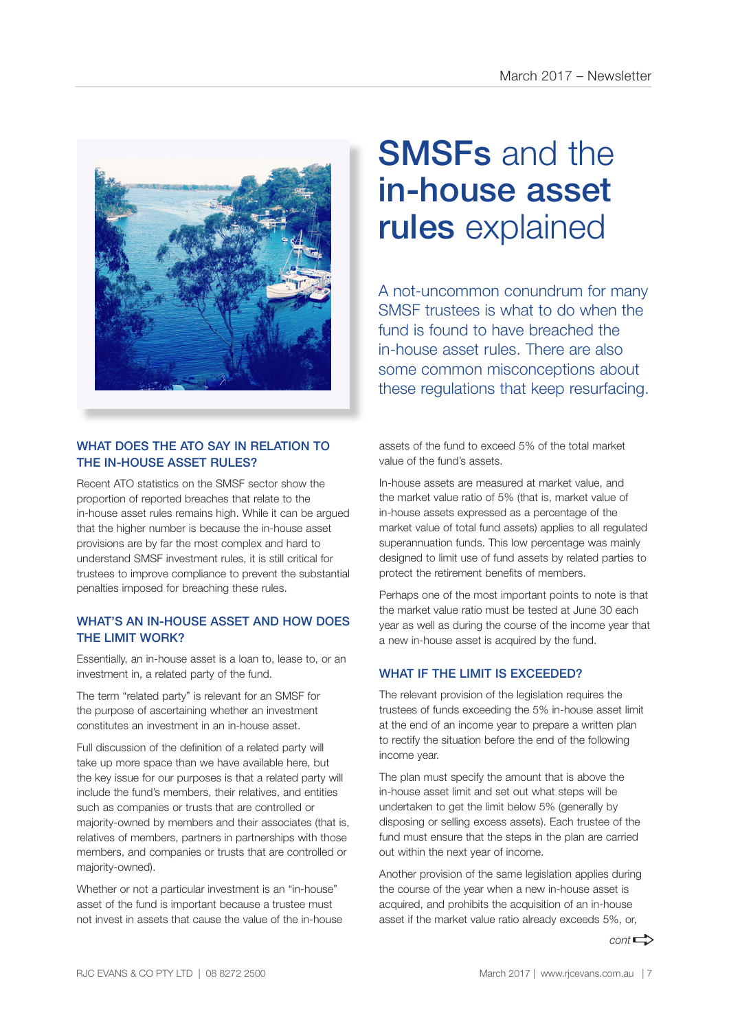![](_page_6_Picture_1.jpeg)

#### WHAT DOES THE ATO SAY IN RELATION TO THE IN-HOUSE ASSET RULES?

Recent ATO statistics on the SMSF sector show the proportion of reported breaches that relate to the in-house asset rules remains high. While it can be argued that the higher number is because the in-house asset provisions are by far the most complex and hard to understand SMSF investment rules, it is still critical for trustees to improve compliance to prevent the substantial penalties imposed for breaching these rules.

#### WHAT'S AN IN-HOUSE ASSET AND HOW DOES THE LIMIT WORK?

Essentially, an in-house asset is a loan to, lease to, or an investment in, a related party of the fund.

The term "related party" is relevant for an SMSF for the purpose of ascertaining whether an investment constitutes an investment in an in-house asset.

Full discussion of the definition of a related party will take up more space than we have available here, but the key issue for our purposes is that a related party will include the fund's members, their relatives, and entities such as companies or trusts that are controlled or majority-owned by members and their associates (that is, relatives of members, partners in partnerships with those members, and companies or trusts that are controlled or majority-owned).

Whether or not a particular investment is an "in-house" asset of the fund is important because a trustee must not invest in assets that cause the value of the in-house

## SMSFs and the in-house asset rules explained

A not-uncommon conundrum for many SMSF trustees is what to do when the fund is found to have breached the in-house asset rules. There are also some common misconceptions about these regulations that keep resurfacing.

assets of the fund to exceed 5% of the total market value of the fund's assets.

In-house assets are measured at market value, and the market value ratio of 5% (that is, market value of in-house assets expressed as a percentage of the market value of total fund assets) applies to all regulated superannuation funds. This low percentage was mainly designed to limit use of fund assets by related parties to protect the retirement benefits of members.

Perhaps one of the most important points to note is that the market value ratio must be tested at June 30 each year as well as during the course of the income year that a new in-house asset is acquired by the fund.

#### WHAT IF THE LIMIT IS EXCEEDED?

The relevant provision of the legislation requires the trustees of funds exceeding the 5% in-house asset limit at the end of an income year to prepare a written plan to rectify the situation before the end of the following income year.

The plan must specify the amount that is above the in-house asset limit and set out what steps will be undertaken to get the limit below 5% (generally by disposing or selling excess assets). Each trustee of the fund must ensure that the steps in the plan are carried out within the next year of income.

Another provision of the same legislation applies during the course of the year when a new in-house asset is acquired, and prohibits the acquisition of an in-house asset if the market value ratio already exceeds 5%, or,

 $cont \rightarrow$